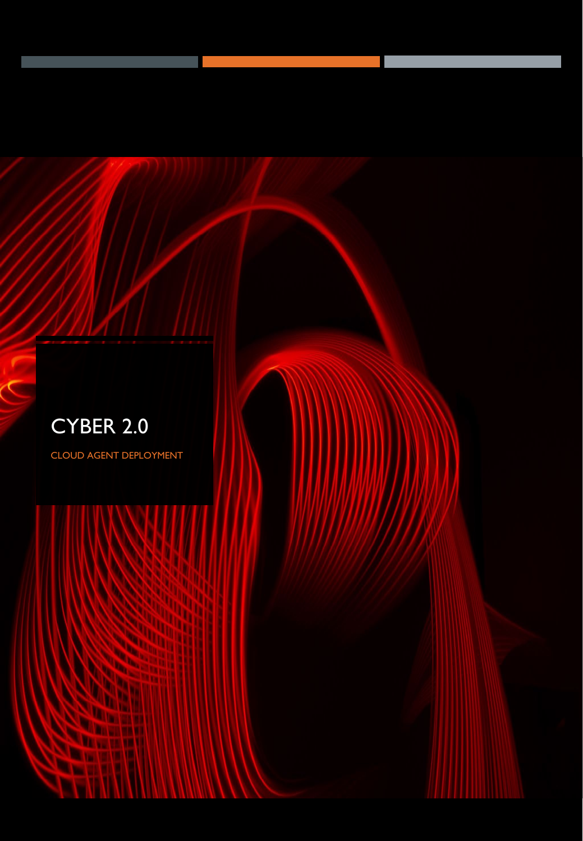

CLOUD AGENT DEPLOYMENT

 $\mathcal{S}$ 

**DATE** 

**Samuel Ha The Second State** 

**DE VIE** 

ш

**CARD**